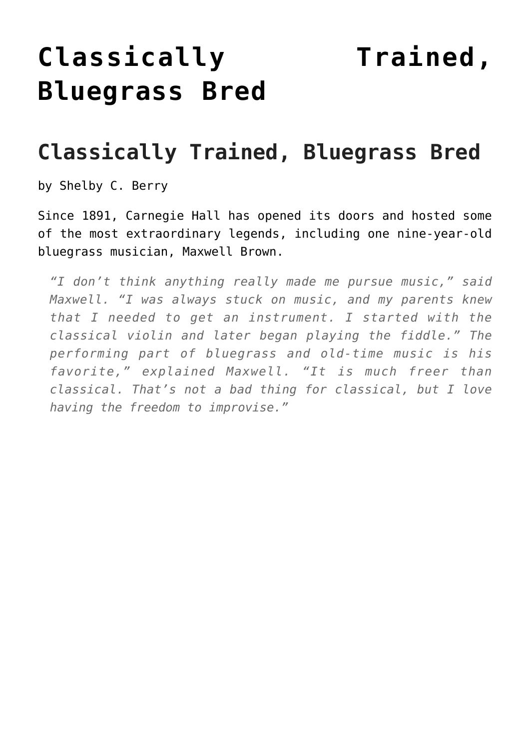## **[Classically Trained,](https://thebluegrassstandard.com/classically-trained-bluegrass-bred/) [Bluegrass Bred](https://thebluegrassstandard.com/classically-trained-bluegrass-bred/)**

## **Classically Trained, Bluegrass Bred**

by Shelby C. Berry

Since 1891, Carnegie Hall has opened its doors and hosted some of the most extraordinary legends, including one nine-year-old bluegrass musician, Maxwell Brown.

*"I don't think anything really made me pursue music," said Maxwell. "I was always stuck on music, and my parents knew that I needed to get an instrument. I started with the classical violin and later began playing the fiddle." The performing part of bluegrass and old-time music is his favorite," explained Maxwell. "It is much freer than classical. That's not a bad thing for classical, but I love having the freedom to improvise."*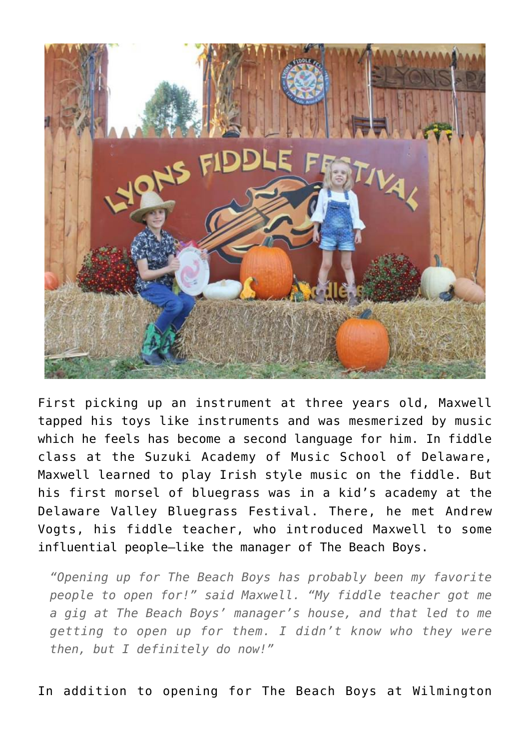

First picking up an instrument at three years old, Maxwell tapped his toys like instruments and was mesmerized by music which he feels has become a second language for him. In fiddle class at the Suzuki Academy of Music School of Delaware, Maxwell learned to play Irish style music on the fiddle. But his first morsel of bluegrass was in a kid's academy at the Delaware Valley Bluegrass Festival. There, he met Andrew Vogts, his fiddle teacher, who introduced Maxwell to some influential people—like the manager of The Beach Boys.

*"Opening up for The Beach Boys has probably been my favorite people to open for!" said Maxwell. "My fiddle teacher got me a gig at The Beach Boys' manager's house, and that led to me getting to open up for them. I didn't know who they were then, but I definitely do now!"*

In addition to opening for The Beach Boys at Wilmington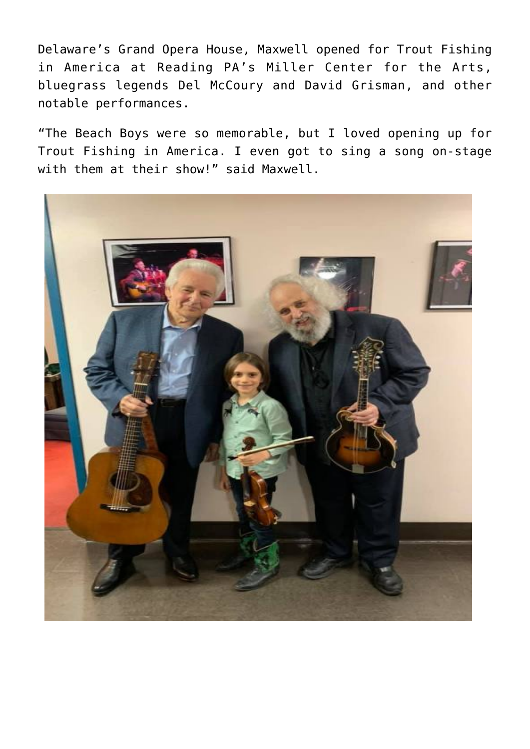Delaware's Grand Opera House, Maxwell opened for Trout Fishing in America at Reading PA's Miller Center for the Arts, bluegrass legends Del McCoury and David Grisman, and other notable performances.

"The Beach Boys were so memorable, but I loved opening up for Trout Fishing in America. I even got to sing a song on-stage with them at their show!" said Maxwell.

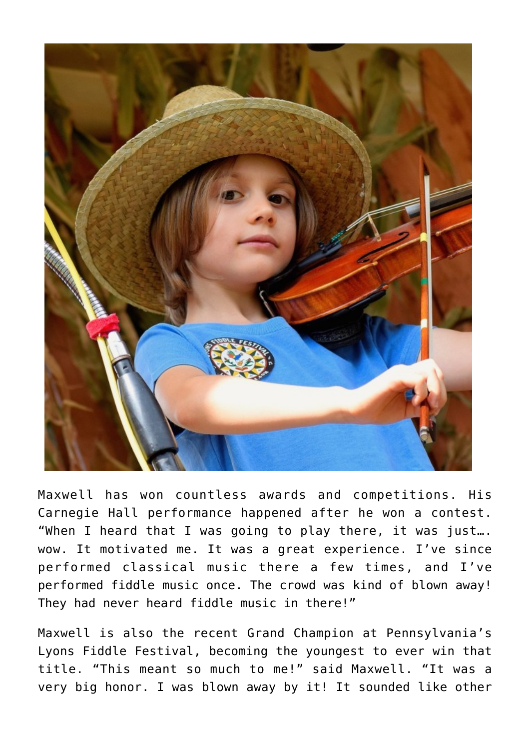

Maxwell has won countless awards and competitions. His Carnegie Hall performance happened after he won a contest. "When I heard that I was going to play there, it was just…. wow. It motivated me. It was a great experience. I've since performed classical music there a few times, and I've performed fiddle music once. The crowd was kind of blown away! They had never heard fiddle music in there!"

Maxwell is also the recent Grand Champion at Pennsylvania's Lyons Fiddle Festival, becoming the youngest to ever win that title. "This meant so much to me!" said Maxwell. "It was a very big honor. I was blown away by it! It sounded like other